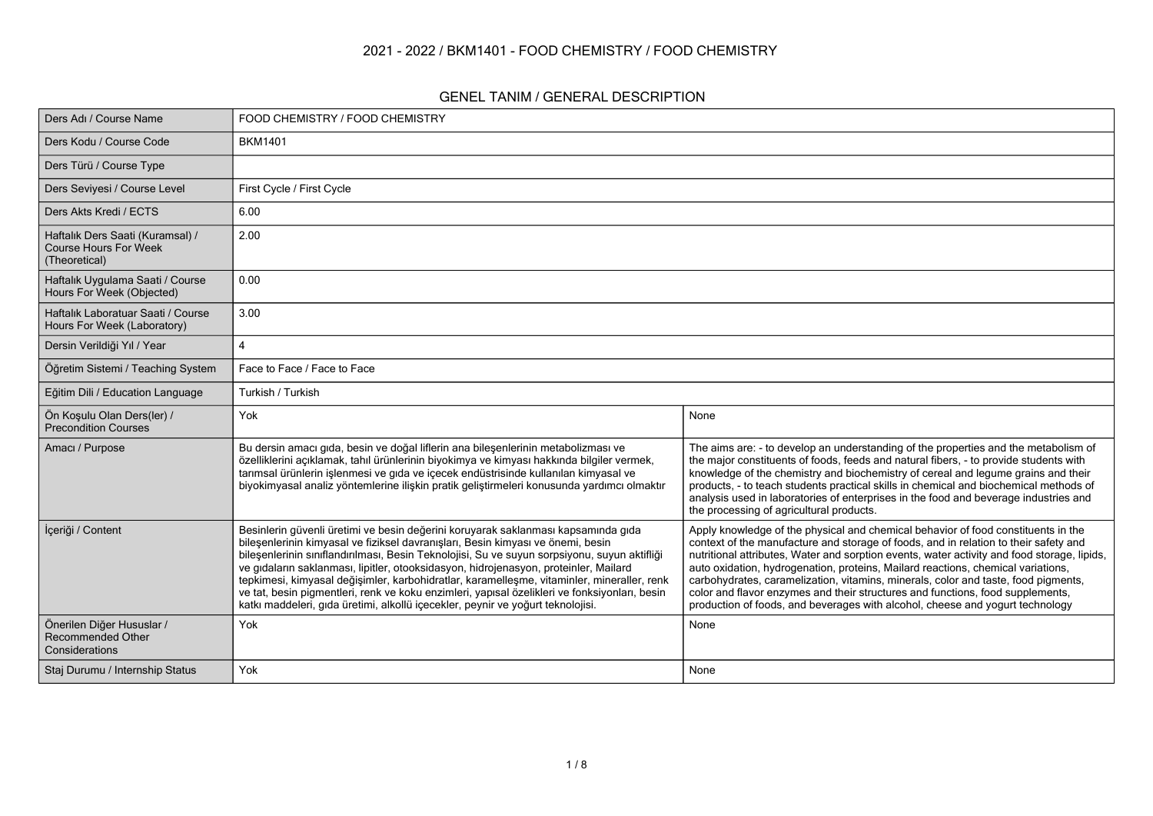### **2021 - 2022 / BKM1401 - FOOD CHEMISTRY / FOOD CHEMISTRY**

#### **GENEL TANIM / GENERAL DESCRIPTION**

| Ders Adı / Course Name                                                            | FOOD CHEMISTRY / FOOD CHEMISTRY                                                                                                                                                                                                                                                                                                                                                                                                                                                                                                                                                                                                                |                                                                                                                                                                                                                                                                                                                                                                                                                                                                                                                                                                                                                       |
|-----------------------------------------------------------------------------------|------------------------------------------------------------------------------------------------------------------------------------------------------------------------------------------------------------------------------------------------------------------------------------------------------------------------------------------------------------------------------------------------------------------------------------------------------------------------------------------------------------------------------------------------------------------------------------------------------------------------------------------------|-----------------------------------------------------------------------------------------------------------------------------------------------------------------------------------------------------------------------------------------------------------------------------------------------------------------------------------------------------------------------------------------------------------------------------------------------------------------------------------------------------------------------------------------------------------------------------------------------------------------------|
| Ders Kodu / Course Code                                                           | <b>BKM1401</b>                                                                                                                                                                                                                                                                                                                                                                                                                                                                                                                                                                                                                                 |                                                                                                                                                                                                                                                                                                                                                                                                                                                                                                                                                                                                                       |
| Ders Türü / Course Type                                                           |                                                                                                                                                                                                                                                                                                                                                                                                                                                                                                                                                                                                                                                |                                                                                                                                                                                                                                                                                                                                                                                                                                                                                                                                                                                                                       |
| Ders Seviyesi / Course Level                                                      | First Cycle / First Cycle                                                                                                                                                                                                                                                                                                                                                                                                                                                                                                                                                                                                                      |                                                                                                                                                                                                                                                                                                                                                                                                                                                                                                                                                                                                                       |
| Ders Akts Kredi / ECTS                                                            | 6.00                                                                                                                                                                                                                                                                                                                                                                                                                                                                                                                                                                                                                                           |                                                                                                                                                                                                                                                                                                                                                                                                                                                                                                                                                                                                                       |
| Haftalık Ders Saati (Kuramsal) /<br><b>Course Hours For Week</b><br>(Theoretical) | 2.00                                                                                                                                                                                                                                                                                                                                                                                                                                                                                                                                                                                                                                           |                                                                                                                                                                                                                                                                                                                                                                                                                                                                                                                                                                                                                       |
| Haftalık Uygulama Saati / Course<br>Hours For Week (Objected)                     | 0.00                                                                                                                                                                                                                                                                                                                                                                                                                                                                                                                                                                                                                                           |                                                                                                                                                                                                                                                                                                                                                                                                                                                                                                                                                                                                                       |
| Haftalık Laboratuar Saati / Course<br>Hours For Week (Laboratory)                 | 3.00                                                                                                                                                                                                                                                                                                                                                                                                                                                                                                                                                                                                                                           |                                                                                                                                                                                                                                                                                                                                                                                                                                                                                                                                                                                                                       |
| Dersin Verildiği Yıl / Year                                                       | 4                                                                                                                                                                                                                                                                                                                                                                                                                                                                                                                                                                                                                                              |                                                                                                                                                                                                                                                                                                                                                                                                                                                                                                                                                                                                                       |
| Öğretim Sistemi / Teaching System                                                 | Face to Face / Face to Face                                                                                                                                                                                                                                                                                                                                                                                                                                                                                                                                                                                                                    |                                                                                                                                                                                                                                                                                                                                                                                                                                                                                                                                                                                                                       |
| Eğitim Dili / Education Language                                                  | Turkish / Turkish                                                                                                                                                                                                                                                                                                                                                                                                                                                                                                                                                                                                                              |                                                                                                                                                                                                                                                                                                                                                                                                                                                                                                                                                                                                                       |
| Ön Koşulu Olan Ders(ler) /<br>Precondition Courses                                | Yok                                                                                                                                                                                                                                                                                                                                                                                                                                                                                                                                                                                                                                            | None                                                                                                                                                                                                                                                                                                                                                                                                                                                                                                                                                                                                                  |
| Amacı / Purpose                                                                   | Bu dersin amacı gıda, besin ve doğal liflerin ana bileşenlerinin metabolizması ve<br>özelliklerini açıklamak, tahıl ürünlerinin biyokimya ve kimyası hakkında bilgiler vermek,<br>tarımsal ürünlerin işlenmesi ve gıda ve içecek endüstrisinde kullanılan kimyasal ve<br>biyokimyasal analiz yöntemlerine ilişkin pratik geliştirmeleri konusunda yardımcı olmaktır                                                                                                                                                                                                                                                                            | The aims are: - to develop an understanding of the properties and the metabolism of<br>the major constituents of foods, feeds and natural fibers, - to provide students with<br>knowledge of the chemistry and biochemistry of cereal and legume grains and their<br>products, - to teach students practical skills in chemical and biochemical methods of<br>analysis used in laboratories of enterprises in the food and beverage industries and<br>the processing of agricultural products.                                                                                                                        |
| İçeriği / Content                                                                 | Besinlerin güvenli üretimi ve besin değerini koruyarak saklanması kapsamında gıda<br>bileşenlerinin kimyasal ve fiziksel davranışları, Besin kimyası ve önemi, besin<br>bileşenlerinin sınıflandırılması, Besin Teknolojisi, Su ve suyun sorpsiyonu, suyun aktifliği<br>ve gıdaların saklanması, lipitler, otooksidasyon, hidrojenasyon, proteinler, Mailard<br>tepkimesi, kimyasal değişimler, karbohidratlar, karamelleşme, vitaminler, mineraller, renk<br>ve tat, besin pigmentleri, renk ve koku enzimleri, yapısal özelikleri ve fonksiyonları, besin<br>katkı maddeleri, gıda üretimi, alkollü içecekler, peynir ve yoğurt teknolojisi. | Apply knowledge of the physical and chemical behavior of food constituents in the<br>context of the manufacture and storage of foods, and in relation to their safety and<br>nutritional attributes, Water and sorption events, water activity and food storage, lipids,<br>auto oxidation, hydrogenation, proteins, Mailard reactions, chemical variations,<br>carbohydrates, caramelization, vitamins, minerals, color and taste, food pigments,<br>color and flavor enzymes and their structures and functions, food supplements,<br>production of foods, and beverages with alcohol, cheese and yogurt technology |
| Önerilen Diğer Hususlar /<br><b>Recommended Other</b><br>Considerations           | Yok                                                                                                                                                                                                                                                                                                                                                                                                                                                                                                                                                                                                                                            | None                                                                                                                                                                                                                                                                                                                                                                                                                                                                                                                                                                                                                  |
| Staj Durumu / Internship Status                                                   | Yok                                                                                                                                                                                                                                                                                                                                                                                                                                                                                                                                                                                                                                            | None                                                                                                                                                                                                                                                                                                                                                                                                                                                                                                                                                                                                                  |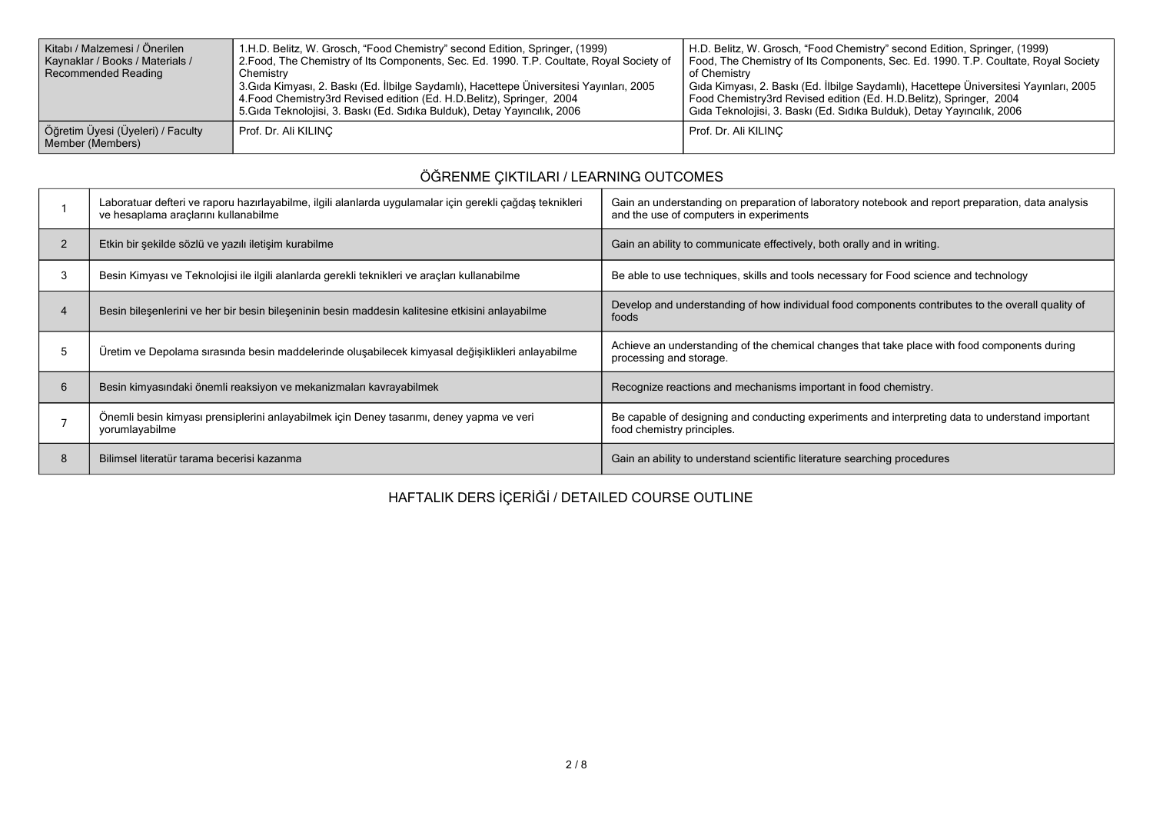| Kitabı / Malzemesi / Önerilen<br>Kaynaklar / Books / Materials /<br>Recommended Reading | 1.H.D. Belitz, W. Grosch, "Food Chemistry" second Edition, Springer, (1999)<br>2. Food, The Chemistry of Its Components, Sec. Ed. 1990. T.P. Coultate, Royal Society of<br>Chemistry<br><sup>1</sup> 3.Gıda Kimyası, 2. Baskı (Ed. İlbilge Saydamlı), Hacettepe Üniversitesi Yayınları, 2005<br>4. Food Chemistry3rd Revised edition (Ed. H.D. Belitz), Springer, 2004<br>5. Gida Teknolojisi, 3. Baskı (Ed. Sidika Bulduk), Detay Yayıncılık, 2006 | H.D. Belitz, W. Grosch, "Food Chemistry" second Edition, Springer, (1999)<br>Food, The Chemistry of Its Components, Sec. Ed. 1990. T.P. Coultate, Royal Society<br>of Chemistry<br>Gıda Kimyası, 2. Baskı (Ed. İlbilge Saydamlı), Hacettepe Üniversitesi Yayınları, 2005<br>Food Chemistry3rd Revised edition (Ed. H.D.Belitz), Springer, 2004<br>Gida Teknolojisi, 3. Baski (Ed. Sidika Bulduk), Detay Yayıncılık, 2006 |
|-----------------------------------------------------------------------------------------|-----------------------------------------------------------------------------------------------------------------------------------------------------------------------------------------------------------------------------------------------------------------------------------------------------------------------------------------------------------------------------------------------------------------------------------------------------|--------------------------------------------------------------------------------------------------------------------------------------------------------------------------------------------------------------------------------------------------------------------------------------------------------------------------------------------------------------------------------------------------------------------------|
| Öğretim Üyesi (Üyeleri) / Faculty<br>Member (Members)                                   | Prof. Dr. Ali KILINC                                                                                                                                                                                                                                                                                                                                                                                                                                | Prof. Dr. Ali KILINC                                                                                                                                                                                                                                                                                                                                                                                                     |

## **ÖĞRENME ÇIKTILARI / LEARNING OUTCOMES**

|                | Laboratuar defteri ve raporu hazırlayabilme, ilgili alanlarda uygulamalar için gerekli çağdaş teknikleri<br>ve hesaplama araçlarını kullanabilme | Gain an understanding on preparation of laboratory notebook and report preparation, data analysis<br>and the use of computers in experiments |
|----------------|--------------------------------------------------------------------------------------------------------------------------------------------------|----------------------------------------------------------------------------------------------------------------------------------------------|
| $\overline{2}$ | Etkin bir şekilde sözlü ve yazılı iletişim kurabilme                                                                                             | Gain an ability to communicate effectively, both orally and in writing.                                                                      |
|                | Besin Kimyası ve Teknolojisi ile ilgili alanlarda gerekli teknikleri ve araçları kullanabilme                                                    | Be able to use techniques, skills and tools necessary for Food science and technology                                                        |
|                | Besin bileşenlerini ve her bir besin bileşeninin besin maddesin kalitesine etkisini anlayabilme                                                  | Develop and understanding of how individual food components contributes to the overall quality of<br>foods                                   |
|                | Üretim ve Depolama sırasında besin maddelerinde oluşabilecek kimyasal değişiklikleri anlayabilme                                                 | Achieve an understanding of the chemical changes that take place with food components during<br>processing and storage.                      |
| 6              | Besin kimyasındaki önemli reaksiyon ve mekanizmaları kavrayabilmek                                                                               | Recognize reactions and mechanisms important in food chemistry.                                                                              |
|                | Önemli besin kimyası prensiplerini anlayabilmek için Deney tasarımı, deney yapma ve veri<br>yorumlayabilme                                       | Be capable of designing and conducting experiments and interpreting data to understand important<br>food chemistry principles.               |
|                | Bilimsel literatür tarama becerisi kazanma                                                                                                       | Gain an ability to understand scientific literature searching procedures                                                                     |

# **HAFTALIK DERS İÇERİĞİ / DETAILED COURSE OUTLINE**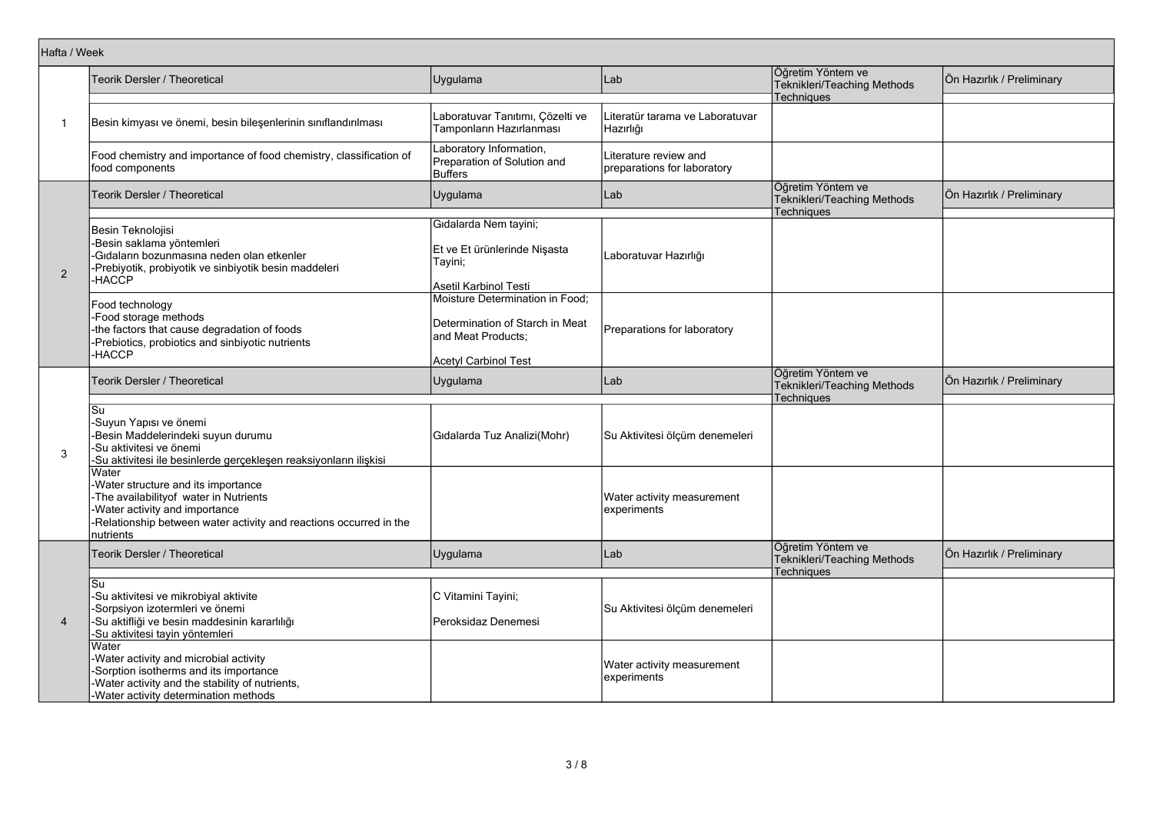|                | Hafta / Week                                                                                                                                                                                              |                                                                                                                         |                                                      |                                                                       |                           |
|----------------|-----------------------------------------------------------------------------------------------------------------------------------------------------------------------------------------------------------|-------------------------------------------------------------------------------------------------------------------------|------------------------------------------------------|-----------------------------------------------------------------------|---------------------------|
|                | <b>Teorik Dersler / Theoretical</b>                                                                                                                                                                       | Uygulama                                                                                                                | Lab                                                  | Öğretim Yöntem ve<br>Teknikleri/Teaching Methods<br><b>Techniques</b> | Ön Hazırlık / Preliminary |
| $\mathbf 1$    | Besin kimyası ve önemi, besin bileşenlerinin sınıflandırılması                                                                                                                                            | Laboratuvar Tanıtımı, Çözelti ve<br>Tamponların Hazırlanması                                                            | Literatür tarama ve Laboratuvar<br>Hazırlığı         |                                                                       |                           |
|                | Food chemistry and importance of food chemistry, classification of<br>food components                                                                                                                     | Laboratory Information,<br>Preparation of Solution and<br>Buffers                                                       | Literature review and<br>preparations for laboratory |                                                                       |                           |
|                | <b>Teorik Dersler / Theoretical</b>                                                                                                                                                                       | Uygulama                                                                                                                | Lab                                                  | Öğretim Yöntem ve<br>Teknikleri/Teaching Methods                      | Ön Hazırlık / Preliminary |
|                |                                                                                                                                                                                                           |                                                                                                                         |                                                      | Techniques                                                            |                           |
| $\overline{2}$ | Besin Teknolojisi<br>-Besin saklama yöntemleri<br>-Gidalarin bozunmasına neden olan etkenler<br>-Prebiyotik, probiyotik ve sinbiyotik besin maddeleri<br>-HACĆP                                           | Gıdalarda Nem tayini;<br>Et ve Et ürünlerinde Nişasta<br>Tayini;                                                        | Laboratuvar Hazırlığı                                |                                                                       |                           |
|                |                                                                                                                                                                                                           | Asetil Karbinol Testi                                                                                                   |                                                      |                                                                       |                           |
|                | Food technology<br>-Food storage methods<br>-the factors that cause degradation of foods<br>-Prebiotics, probiotics and sinbiyotic nutrients<br>-HACCP                                                    | Moisture Determination in Food;<br>Determination of Starch in Meat<br>and Meat Products;<br><b>Acetyl Carbinol Test</b> | Preparations for laboratory                          |                                                                       |                           |
|                | <b>Teorik Dersler / Theoretical</b>                                                                                                                                                                       | Uygulama                                                                                                                | Lab                                                  | Öğretim Yöntem ve<br>Teknikleri/Teaching Methods<br><b>Techniques</b> | Ön Hazırlık / Preliminary |
| 3              | Su<br>-Suyun Yapısı ve önemi<br>-Besin Maddelerindeki suyun durumu<br>-Su aktivitesi ve önemi<br>-Su aktivitesi ile besinlerde gerçekleşen reaksiyonların ilişkisi                                        | Gidalarda Tuz Analizi(Mohr)                                                                                             | Su Aktivitesi ölçüm denemeleri                       |                                                                       |                           |
|                | Water<br>Water structure and its importance<br>-The availabilityof water in Nutrients<br>Water activity and importance<br>-Relationship between water activity and reactions occurred in the<br>nutrients |                                                                                                                         | Water activity measurement<br>experiments            |                                                                       |                           |
|                | Teorik Dersler / Theoretical                                                                                                                                                                              | Uygulama                                                                                                                | Lab                                                  | Öğretim Yöntem ve<br>Teknikleri/Teaching Methods                      | Ön Hazırlık / Preliminary |
| $\overline{4}$ | Su<br>Su aktivitesi ve mikrobiyal aktivite<br>Sorpsiyon izotermleri ve önemi<br>-Su aktifliği ve besin maddesinin kararlılığı<br>-Su aktivitesi tayin yöntemleri                                          | C Vitamini Tayini;<br>Peroksidaz Denemesi                                                                               | Su Aktivitesi ölçüm denemeleri                       | Techniques                                                            |                           |
|                | Water<br>-Water activity and microbial activity<br>Sorption isotherms and its importance<br>-Water activity and the stability of nutrients,<br>-Water activity determination methods                      |                                                                                                                         | Water activity measurement<br>experiments            |                                                                       |                           |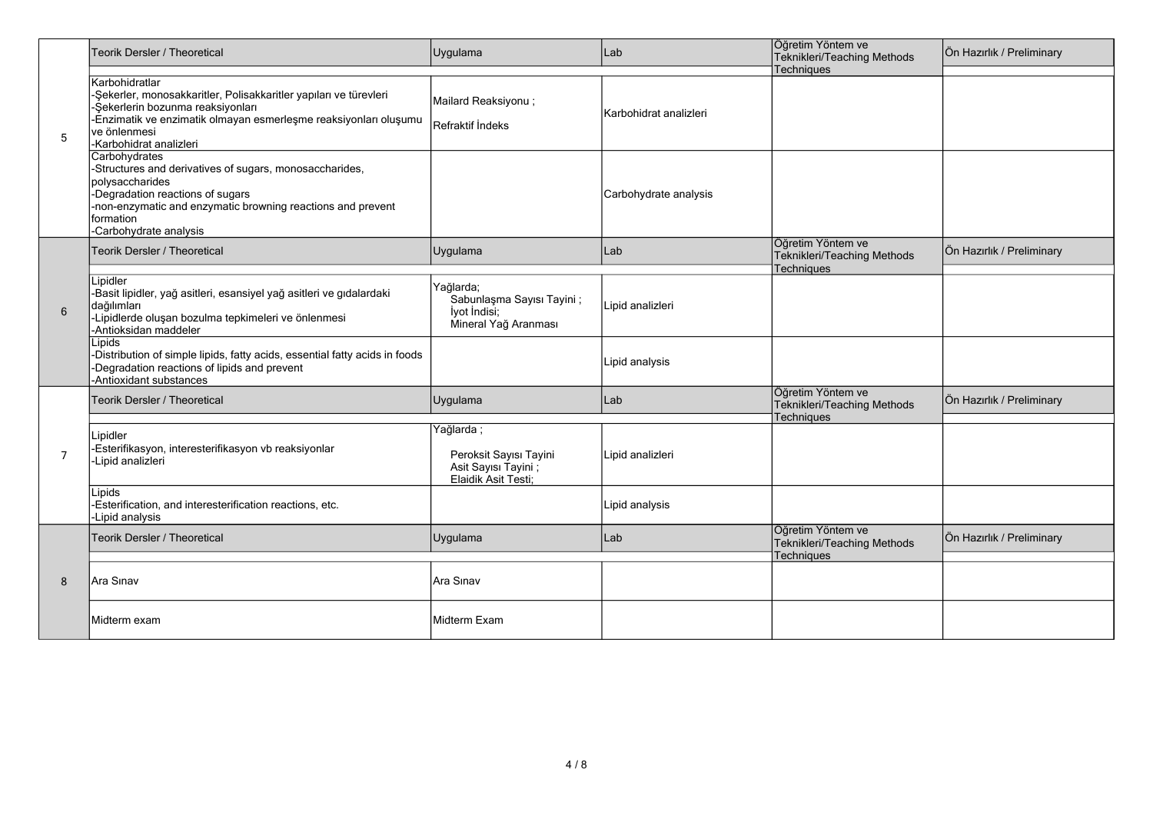| 5              | Teorik Dersler / Theoretical                                                                                                                                                                                                             | Uygulama                                                                       | Lab                    | Öğretim Yöntem ve<br>Teknikleri/Teaching Methods                      | Ön Hazırlık / Preliminary |
|----------------|------------------------------------------------------------------------------------------------------------------------------------------------------------------------------------------------------------------------------------------|--------------------------------------------------------------------------------|------------------------|-----------------------------------------------------------------------|---------------------------|
|                | Karbohidratlar<br>-Şekerler, monosakkaritler, Polisakkaritler yapıları ve türevleri<br>-Şekerlerin bozunma reaksiyonları<br>-Enzimatik ve enzimatik olmayan esmerleşme reaksiyonları oluşumu<br>ve önlenmesi<br>l-Karbohidrat analizleri | Mailard Reaksiyonu;<br>Refraktif Indeks                                        | Karbohidrat analizleri | Techniques                                                            |                           |
|                | Carbohydrates<br>-Structures and derivatives of sugars, monosaccharides,<br>polysaccharides<br>-Degradation reactions of sugars<br>-non-enzymatic and enzymatic browning reactions and prevent<br>formation<br>-Carbohydrate analysis    |                                                                                | Carbohydrate analysis  |                                                                       |                           |
|                | Teorik Dersler / Theoretical                                                                                                                                                                                                             | Uygulama                                                                       | Lab                    | Öğretim Yöntem ve<br>Teknikleri/Teaching Methods                      | Ön Hazırlık / Preliminary |
| 6              | Lipidler<br>-Basit lipidler, yağ asitleri, esansiyel yağ asitleri ve gıdalardaki<br>dağılımları<br>-Lipidlerde oluşan bozulma tepkimeleri ve önlenmesi<br>-Antioksidan maddeler                                                          | Yağlarda;<br>Sabunlaşma Sayısı Tayini;<br>lyot Indisi;<br>Mineral Yağ Aranması | Lipid analizleri       | Techniques                                                            |                           |
|                | Lipids<br>-Distribution of simple lipids, fatty acids, essential fatty acids in foods<br>-Degradation reactions of lipids and prevent<br>-Antioxidant substances                                                                         |                                                                                | Lipid analysis         |                                                                       |                           |
|                | Teorik Dersler / Theoretical                                                                                                                                                                                                             | Uygulama                                                                       | Lab                    | Öğretim Yöntem ve<br>Teknikleri/Teaching Methods<br>Techniques        | Ön Hazırlık / Preliminary |
|                | Lipidler                                                                                                                                                                                                                                 | Yağlarda;                                                                      |                        |                                                                       |                           |
| $\overline{7}$ | -Esterifikasyon, interesterifikasyon vb reaksiyonlar<br>-Lipid analizleri                                                                                                                                                                | Peroksit Sayısı Tayini<br>Asit Sayısı Tayini;<br>Elaidik Asit Testi:           | Lipid analizleri       |                                                                       |                           |
|                | Lipids<br>-Esterification, and interesterification reactions, etc.<br>-Lipid analysis                                                                                                                                                    |                                                                                | Lipid analysis         |                                                                       |                           |
| 8              | Teorik Dersler / Theoretical                                                                                                                                                                                                             | Uygulama                                                                       | Lab                    | Öğretim Yöntem ve<br>Teknikleri/Teaching Methods<br><b>Techniques</b> | Ön Hazırlık / Preliminary |
|                | Ara Sinav                                                                                                                                                                                                                                | Ara Sinav                                                                      |                        |                                                                       |                           |
|                | Midterm exam                                                                                                                                                                                                                             | lMidterm Exam                                                                  |                        |                                                                       |                           |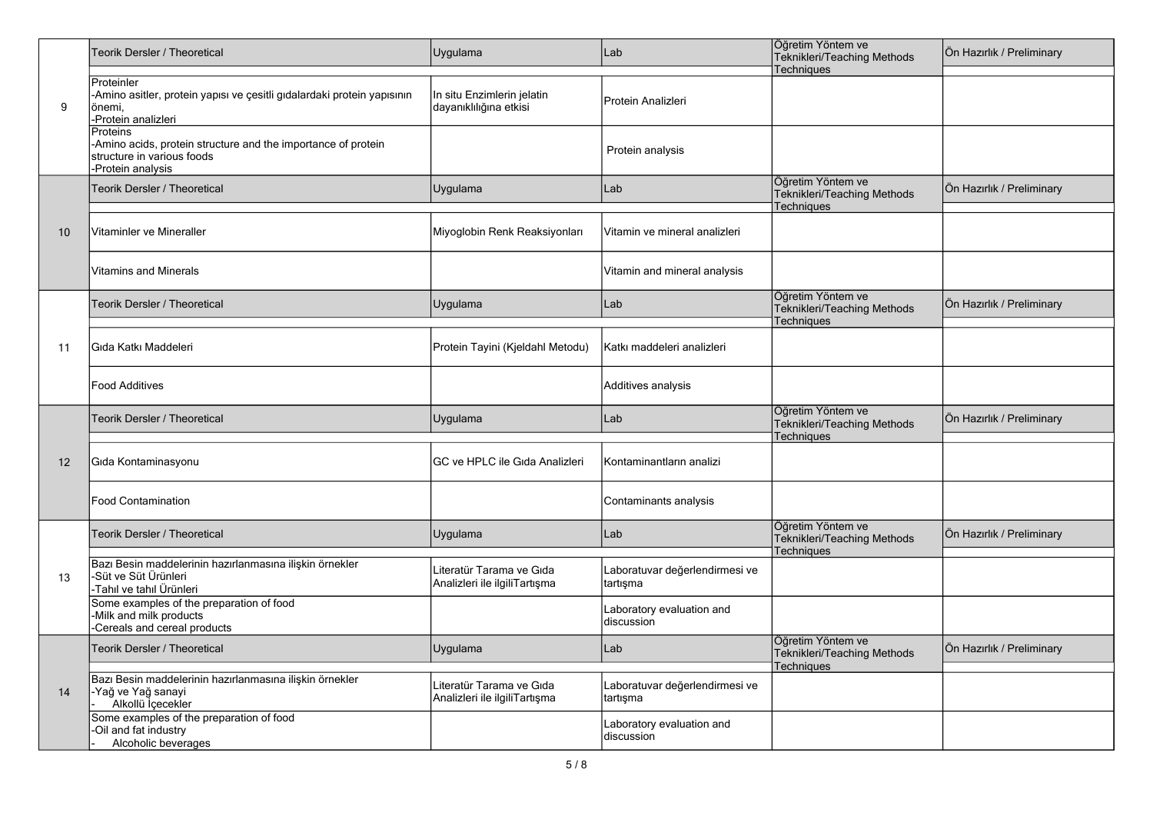|    | Teorik Dersler / Theoretical                                                                                                 | Uygulama                                                  | Lab                                        | Öğretim Yöntem ve<br>Teknikleri/Teaching Methods               | Ön Hazırlık / Preliminary |
|----|------------------------------------------------------------------------------------------------------------------------------|-----------------------------------------------------------|--------------------------------------------|----------------------------------------------------------------|---------------------------|
| 9  | Proteinler<br>-Amino asitler, protein yapısı ve çesitli gıdalardaki protein yapısının<br>önemi,<br>-Protein analizleri       | In situ Enzimlerin jelatin<br>dayanıklılığına etkisi      | Protein Analizleri                         | Techniques                                                     |                           |
|    | Proteins<br>-Amino acids, protein structure and the importance of protein<br>structure in various foods<br>-Protein analysis |                                                           | Protein analysis                           |                                                                |                           |
|    | Teorik Dersler / Theoretical                                                                                                 | Uygulama                                                  | Lab                                        | Öğretim Yöntem ve<br>Teknikleri/Teaching Methods<br>Techniques | Ön Hazırlık / Preliminary |
| 10 | Vitaminler ve Mineraller                                                                                                     | Miyoglobin Renk Reaksiyonları                             | Vitamin ve mineral analizleri              |                                                                |                           |
|    | <b>Vitamins and Minerals</b>                                                                                                 |                                                           | Vitamin and mineral analysis               |                                                                |                           |
|    | Teorik Dersler / Theoretical                                                                                                 | Uygulama                                                  | Lab                                        | Öğretim Yöntem ve<br>Teknikleri/Teaching Methods<br>Techniques | Ön Hazırlık / Preliminary |
| 11 | Gıda Katkı Maddeleri                                                                                                         | Protein Tayini (Kjeldahl Metodu)                          | Katkı maddeleri analizleri                 |                                                                |                           |
|    | <b>Food Additives</b>                                                                                                        |                                                           | Additives analysis                         |                                                                |                           |
|    | Teorik Dersler / Theoretical                                                                                                 | Uygulama                                                  | Lab                                        | Öğretim Yöntem ve<br>Teknikleri/Teaching Methods<br>Techniques | Ön Hazırlık / Preliminary |
| 12 | Gıda Kontaminasyonu                                                                                                          | IGC ve HPLC ile Gıda Analizleri                           | Kontaminantların analizi                   |                                                                |                           |
|    | <b>Food Contamination</b>                                                                                                    |                                                           | Contaminants analysis                      |                                                                |                           |
|    | Teorik Dersler / Theoretical                                                                                                 | Uygulama                                                  | Lab                                        | Öğretim Yöntem ve<br>Teknikleri/Teaching Methods<br>Techniques | Ön Hazırlık / Preliminary |
| 13 | Bazı Besin maddelerinin hazırlanmasına ilişkin örnekler<br>-Süt ve Süt Ürünleri<br>Tahıl ve tahıl Ürünleri                   | Literatür Tarama ve Gıda<br>Analizleri ile ilgiliTartışma | Laboratuvar değerlendirmesi ve<br>tartışma |                                                                |                           |
|    | Some examples of the preparation of food<br>-Milk and milk products<br>-Cereals and cereal products                          |                                                           | Laboratory evaluation and<br>discussion    |                                                                |                           |
| 14 | Teorik Dersler / Theoretical                                                                                                 | Uygulama                                                  | Lab                                        | Öğretim Yöntem ve<br>Teknikleri/Teaching Methods<br>Techniques | Ön Hazırlık / Preliminary |
|    | Bazı Besin maddelerinin hazırlanmasına ilişkin örnekler<br>-Yağ ve Yağ sanayi<br>Alkollü İçecekler                           | Literatür Tarama ve Gıda<br>Analizleri ile ilgiliTartışma | Laboratuvar değerlendirmesi ve<br>tartışma |                                                                |                           |
|    | Some examples of the preparation of food<br>-Oil and fat industry<br>Alcoholic beverages                                     |                                                           | Laboratory evaluation and<br>discussion    |                                                                |                           |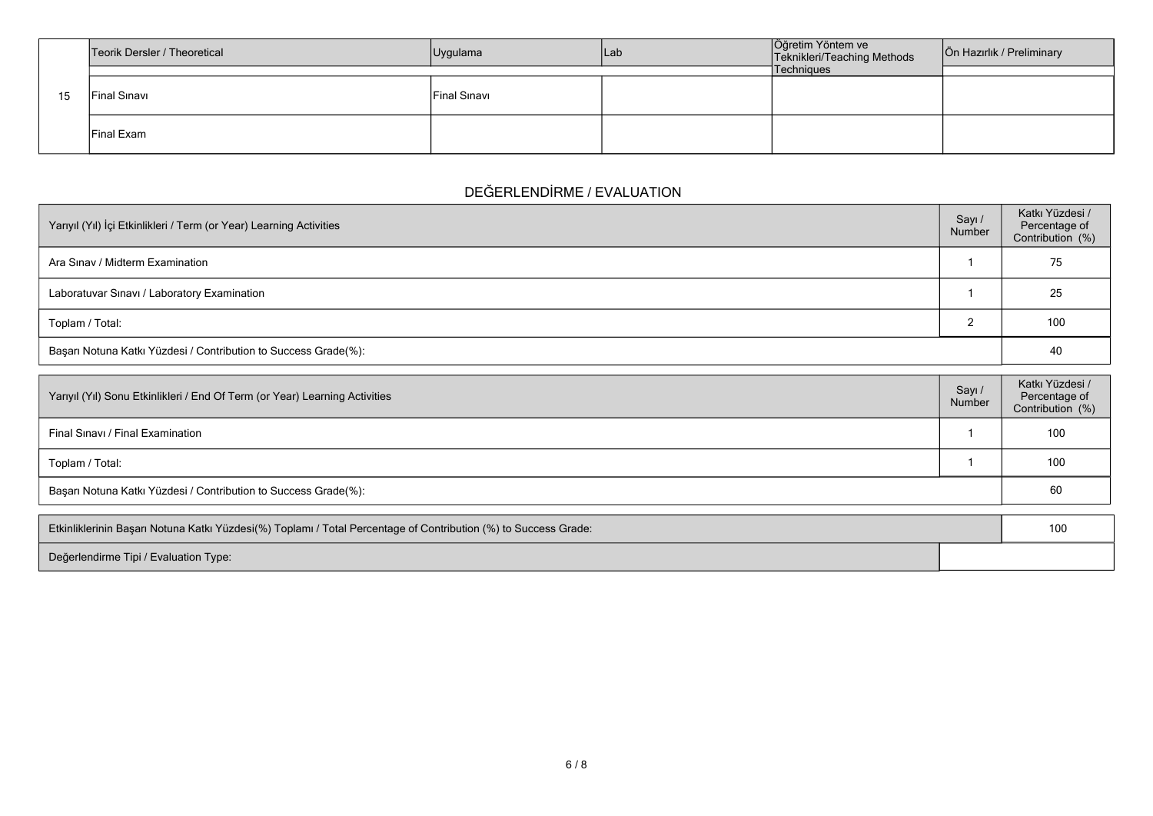|    | Teorik Dersler / Theoretical | Uygulama     | lLab | Öğretim Yöntem ve<br>Teknikleri/Teaching Methods | Ön Hazırlık / Preliminary |
|----|------------------------------|--------------|------|--------------------------------------------------|---------------------------|
|    |                              |              |      | Techniques                                       |                           |
| 15 | Final Sinavi                 | Final Sinavi |      |                                                  |                           |
|    | Final Exam                   |              |      |                                                  |                           |

## **DEĞERLENDİRME / EVALUATION**

| Yarıyıl (Yıl) İçi Etkinlikleri / Term (or Year) Learning Activities | Sayı /<br>Number | Katkı Yüzdesi /<br>Percentage of<br>Contribution (%) |
|---------------------------------------------------------------------|------------------|------------------------------------------------------|
| Ara Sinav / Midterm Examination                                     |                  | 75                                                   |
| Laboratuvar Sınavı / Laboratory Examination                         |                  | 25                                                   |
| Toplam / Total:                                                     |                  | 100                                                  |
| Başarı Notuna Katkı Yüzdesi / Contribution to Success Grade(%):     |                  | 40                                                   |

| Yarıyıl (Yıl) Sonu Etkinlikleri / End Of Term (or Year) Learning Activities | Sayı /<br>Number | Katkı Yüzdesi /<br>Percentage of<br>Contribution (%) |
|-----------------------------------------------------------------------------|------------------|------------------------------------------------------|
| Final Sinavi / Final Examination                                            |                  | 100                                                  |
| Toplam / Total:                                                             |                  | 100                                                  |
| Başarı Notuna Katkı Yüzdesi / Contribution to Success Grade(%):             |                  | 60                                                   |

| Etkinliklerinin Başarı Notuna Katkı Yüzdesi(%) Toplamı / Total Percentage of Contribution (%) to Success Grade: |  |  |
|-----------------------------------------------------------------------------------------------------------------|--|--|
| Değerlendirme Tipi / Evaluation Type:                                                                           |  |  |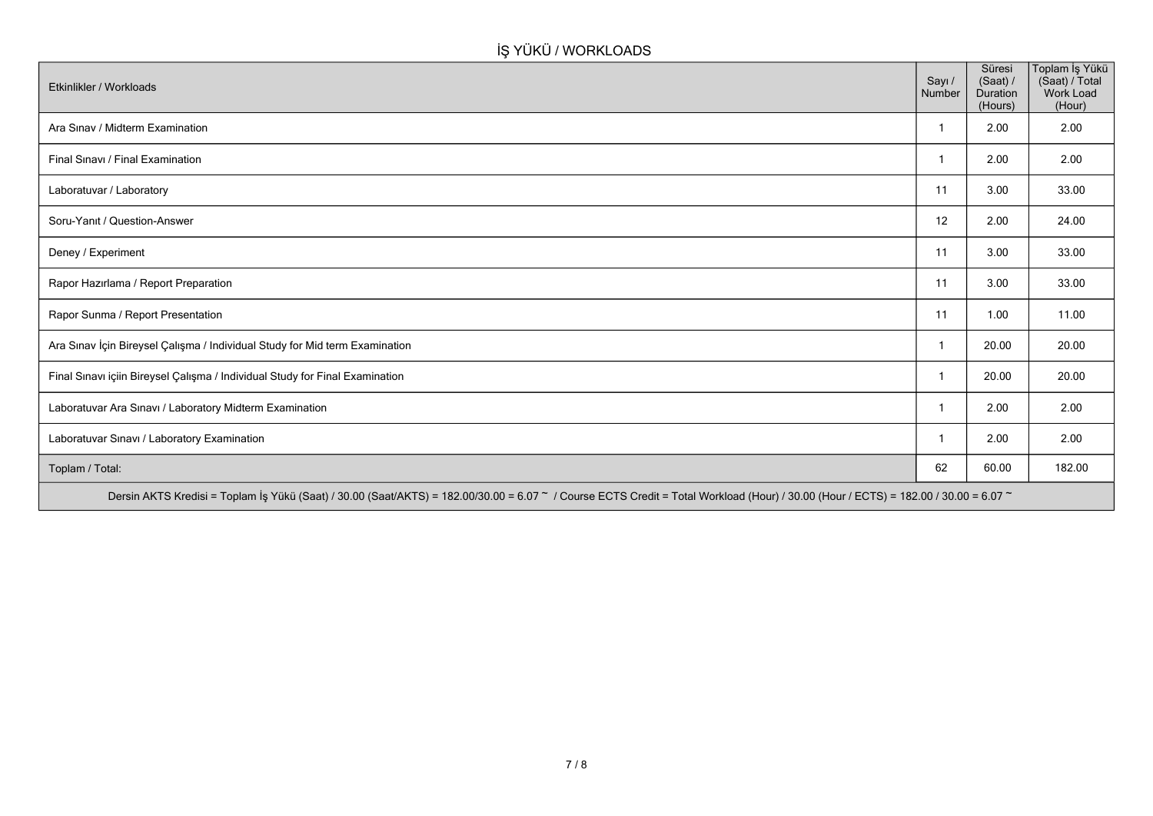### **İŞ YÜKÜ / WORKLOADS**

| Etkinlikler / Workloads                                                      | Sayı /<br>Number | Süresi<br>(Saat) /<br><b>Duration</b><br>(Hours) | Toplam İş Yükü<br>(Saat) / Total<br>Work Load<br>(Hour) |
|------------------------------------------------------------------------------|------------------|--------------------------------------------------|---------------------------------------------------------|
| Ara Sinav / Midterm Examination                                              |                  | 2.00                                             | 2.00                                                    |
| Final Sinavi / Final Examination                                             |                  | 2.00                                             | 2.00                                                    |
| Laboratuvar / Laboratory                                                     | 11               | 3.00                                             | 33.00                                                   |
| Soru-Yanıt / Question-Answer                                                 | 12               | 2.00                                             | 24.00                                                   |
| Deney / Experiment                                                           | 11               | 3.00                                             | 33.00                                                   |
| Rapor Hazırlama / Report Preparation                                         | 11               | 3.00                                             | 33.00                                                   |
| Rapor Sunma / Report Presentation                                            | 11               | 1.00                                             | 11.00                                                   |
| Ara Sınav İçin Bireysel Çalışma / Individual Study for Mid term Examination  | -1               | 20.00                                            | 20.00                                                   |
| Final Sınavı içiin Bireysel Çalışma / Individual Study for Final Examination | -1               | 20.00                                            | 20.00                                                   |
| Laboratuvar Ara Sınavı / Laboratory Midterm Examination                      |                  | 2.00                                             | 2.00                                                    |
| Laboratuvar Sınavı / Laboratory Examination                                  |                  | 2.00                                             | 2.00                                                    |
| Toplam / Total:                                                              | 62               | 60.00                                            | 182.00                                                  |
|                                                                              |                  |                                                  |                                                         |

Dersin AKTS Kredisi = Toplam İş Yükü (Saat) / 30.00 (Saat/AKTS) = 182.00/30.00 = 6.07 ~ / Course ECTS Credit = Total Workload (Hour) / 30.00 (Hour / ECTS) = 182.00 / 30.00 = 6.07